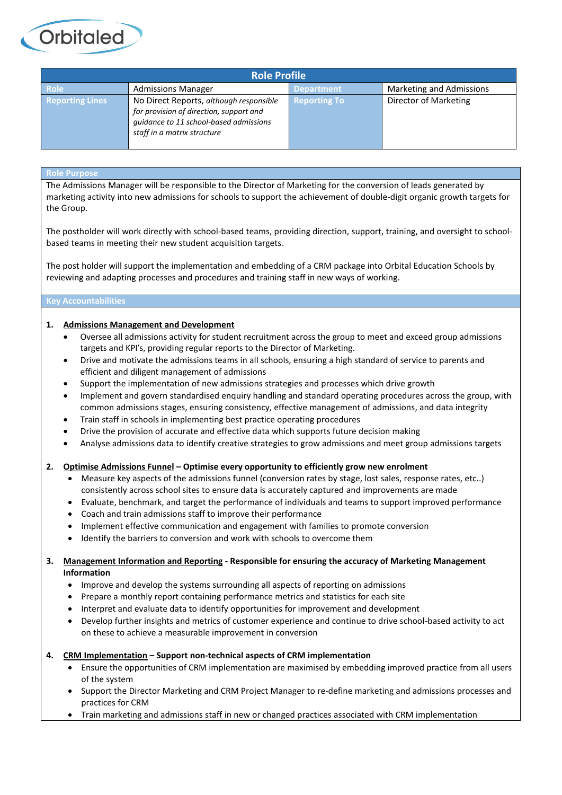| <b>Role Profile</b>    |                                                                                                                                                             |                     |                          |
|------------------------|-------------------------------------------------------------------------------------------------------------------------------------------------------------|---------------------|--------------------------|
| <b>Role</b>            | <b>Admissions Manager</b>                                                                                                                                   | <b>Department</b>   | Marketing and Admissions |
| <b>Reporting Lines</b> | No Direct Reports, although responsible<br>for provision of direction, support and<br>guidance to 11 school-based admissions<br>staff in a matrix structure | <b>Reporting To</b> | Director of Marketing    |

## **Role Purpose**

**Orbitaled** 

The Admissions Manager will be responsible to the Director of Marketing for the conversion of leads generated by marketing activity into new admissions for schools to support the achievement of double-digit organic growth targets for the Group.

The postholder will work directly with school-based teams, providing direction, support, training, and oversight to schoolbased teams in meeting their new student acquisition targets.

The post holder will support the implementation and embedding of a CRM package into Orbital Education Schools by reviewing and adapting processes and procedures and training staff in new ways of working.

### **Key Accountabilities**

## **1. Admissions Management and Development**

- Oversee all admissions activity for student recruitment across the group to meet and exceed group admissions targets and KPI's, providing regular reports to the Director of Marketing.
- Drive and motivate the admissions teams in all schools, ensuring a high standard of service to parents and efficient and diligent management of admissions
- Support the implementation of new admissions strategies and processes which drive growth
- Implement and govern standardised enquiry handling and standard operating procedures across the group, with common admissions stages, ensuring consistency, effective management of admissions, and data integrity
- Train staff in schools in implementing best practice operating procedures
- Drive the provision of accurate and effective data which supports future decision making
- Analyse admissions data to identify creative strategies to grow admissions and meet group admissions targets

## **2. Optimise Admissions Funnel – Optimise every opportunity to efficiently grow new enrolment**

- Measure key aspects of the admissions funnel (conversion rates by stage, lost sales, response rates, etc..) consistently across school sites to ensure data is accurately captured and improvements are made
- Evaluate, benchmark, and target the performance of individuals and teams to support improved performance
- Coach and train admissions staff to improve their performance
- Implement effective communication and engagement with families to promote conversion
- Identify the barriers to conversion and work with schools to overcome them

## **3. Management Information and Reporting - Responsible for ensuring the accuracy of Marketing Management Information**

- Improve and develop the systems surrounding all aspects of reporting on admissions
- Prepare a monthly report containing performance metrics and statistics for each site
- Interpret and evaluate data to identify opportunities for improvement and development
- Develop further insights and metrics of customer experience and continue to drive school-based activity to act on these to achieve a measurable improvement in conversion

## **4. CRM Implementation – Support non-technical aspects of CRM implementation**

- Ensure the opportunities of CRM implementation are maximised by embedding improved practice from all users of the system
- Support the Director Marketing and CRM Project Manager to re-define marketing and admissions processes and practices for CRM
- Train marketing and admissions staff in new or changed practices associated with CRM implementation